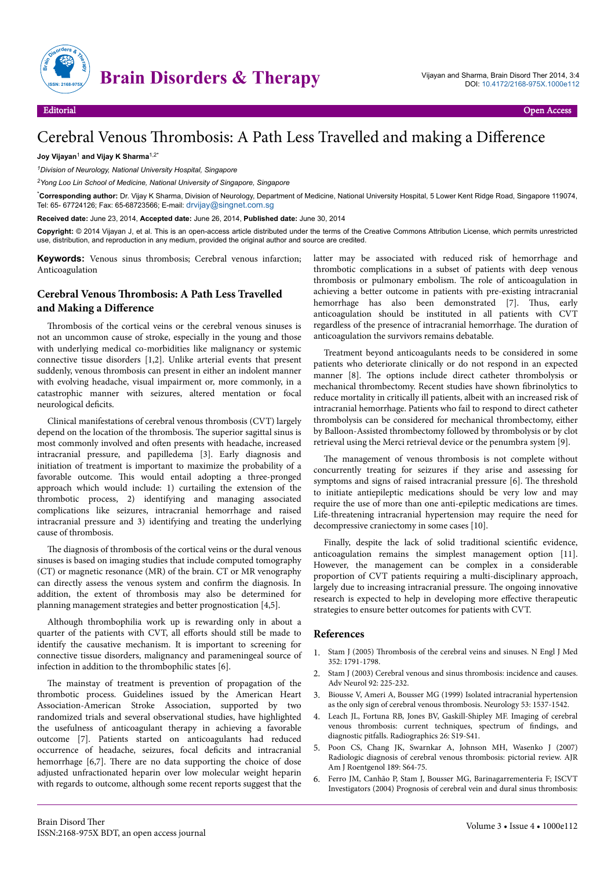

## Cerebral Venous Thrombosis: A Path Less Travelled and making a Difference

## **Joy Vijayan**<sup>1</sup> **and Vijay K Sharma**1,2\*

*<sup>1</sup>Division of Neurology, National University Hospital, Singapore*

*<sup>2</sup>Yong Loo Lin School of Medicine, National University of Singapore, Singapore*

\***Corresponding author:** Dr. Vijay K Sharma, Division of Neurology, Department of Medicine, National University Hospital, 5 Lower Kent Ridge Road, Singapore 119074, Tel: 65- 67724126; Fax: 65-68723566; E-mail: [drvijay@singnet.com.sg](mailto:drvijay@singnet.com.sg)

**Received date:** June 23, 2014, **Accepted date:** June 26, 2014, **Published date:** June 30, 2014

**Copyright:** © 2014 Vijayan J, et al. This is an open-access article distributed under the terms of the Creative Commons Attribution License, which permits unrestricted use, distribution, and reproduction in any medium, provided the original author and source are credited.

**Keywords:** Venous sinus thrombosis; Cerebral venous infarction; Anticoagulation

## **Cerebral Venous Thrombosis: A Path Less Travelled** and Making a Difference

Thrombosis of the cortical veins or the cerebral venous sinuses is not an uncommon cause of stroke, especially in the young and those with underlying medical co-morbidities like malignancy or systemic connective tissue disorders [1,2]. Unlike arterial events that present suddenly, venous thrombosis can present in either an indolent manner with evolving headache, visual impairment or, more commonly, in a catastrophic manner with seizures, altered mentation or focal neurological deficits.

Clinical manifestations of cerebral venous thrombosis (CVT) largely depend on the location of the thrombosis. Нe superior sagittal sinus is most commonly involved and often presents with headache, increased intracranial pressure, and papilledema [3]. Early diagnosis and initiation of treatment is important to maximize the probability of a favorable outcome. This would entail adopting a three-pronged approach which would include: 1) curtailing the extension of the thrombotic process, 2) identifying and managing associated complications like seizures, intracranial hemorrhage and raised intracranial pressure and 3) identifying and treating the underlying cause of thrombosis.

The diagnosis of thrombosis of the cortical veins or the dural venous sinuses is based on imaging studies that include computed tomography (CT) or magnetic resonance (MR) of the brain. CT or MR venography can directly assess the venous system and confirm the diagnosis. In addition, the extent of thrombosis may also be determined for planning management strategies and better prognostication [4,5].

Although thrombophilia work up is rewarding only in about a quarter of the patients with CVT, all efforts should still be made to identify the causative mechanism. It is important to screening for connective tissue disorders, malignancy and parameningeal source of infection in addition to the thrombophilic states [6].

The mainstay of treatment is prevention of propagation of the thrombotic process. Guidelines issued by the American Heart Association-American Stroke Association, supported by two randomized trials and several observational studies, have highlighted the usefulness of anticoagulant therapy in achieving a favorable outcome [7]. Patients started on anticoagulants had reduced occurrence of headache, seizures, focal deficits and intracranial hemorrhage [6,7]. Нere are no data supporting the choice of dose adjusted unfractionated heparin over low molecular weight heparin with regards to outcome, although some recent reports suggest that the

latter may be associated with reduced risk of hemorrhage and thrombotic complications in a subset of patients with deep venous thrombosis or pulmonary embolism. Нe role of anticoagulation in achieving a better outcome in patients with pre-existing intracranial hemorrhage has also been demonstrated [7]. Thus, early anticoagulation should be instituted in all patients with CVT regardless of the presence of intracranial hemorrhage. Нe duration of anticoagulation the survivors remains debatable.

Treatment beyond anticoagulants needs to be considered in some patients who deteriorate clinically or do not respond in an expected manner [8]. Нe options include direct catheter thrombolysis or mechanical thrombectomy. Recent studies have shown fibrinolytics to reduce mortality in critically ill patients, albeit with an increased risk of intracranial hemorrhage. Patients who fail to respond to direct catheter thrombolysis can be considered for mechanical thrombectomy, either by Balloon-Assisted thrombectomy followed by thrombolysis or by clot retrieval using the Merci retrieval device or the penumbra system [9].

The management of venous thrombosis is not complete without concurrently treating for seizures if they arise and assessing for symptoms and signs of raised intracranial pressure [6]. Нe threshold to initiate antiepileptic medications should be very low and may require the use of more than one anti-epileptic medications are times. Life-threatening intracranial hypertension may require the need for decompressive craniectomy in some cases [10].

Finally, despite the lack of solid traditional scientific evidence, anticoagulation remains the simplest management option [11]. However, the management can be complex in a considerable proportion of CVT patients requiring a multi-disciplinary approach, largely due to increasing intracranial pressure. Нe ongoing innovative research is expected to help in developing more effective therapeutic strategies to ensure better outcomes for patients with CVT.

## **References**

- 1. Stam J (2005) Thrombosis [of the cerebral veins and sinuses. N Engl J Med](http://www.ncbi.nlm.nih.gov/pubmed/15858188) [352: 1791-1798.](http://www.ncbi.nlm.nih.gov/pubmed/15858188)
- 2. [Stam J \(2003\) Cerebral venous and sinus thrombosis: incidence and causes.](http://www.ncbi.nlm.nih.gov/pubmed/12760187) [Adv Neurol 92: 225-232.](http://www.ncbi.nlm.nih.gov/pubmed/12760187)
- 3. [Biousse V, Ameri A, Bousser MG \(1999\) Isolated intracranial hypertension](http://www.ncbi.nlm.nih.gov/pubmed/10534264) [as the only sign of cerebral venous thrombosis. Neurology 53: 1537-1542.](http://www.ncbi.nlm.nih.gov/pubmed/10534264)
- 4. [Leach JL, Fortuna RB, Jones BV, Gaskill-Shipley MF. Imaging of cerebral](http://www.ncbi.nlm.nih.gov/pubmed/17050515) [venous thrombosis: current techniques, spectrum of](http://www.ncbi.nlm.nih.gov/pubmed/17050515) findings, and [diagnostic pitfalls. Radiographics 26: S19-S41.](http://www.ncbi.nlm.nih.gov/pubmed/17050515)
- 5. [Poon CS, Chang JK, Swarnkar A, Johnson MH, Wasenko J \(2007\)](http://www.ncbi.nlm.nih.gov/pubmed/18029905) [Radiologic diagnosis of cerebral venous thrombosis: pictorial review. AJR](http://www.ncbi.nlm.nih.gov/pubmed/18029905) [Am J Roentgenol 189: S64-75.](http://www.ncbi.nlm.nih.gov/pubmed/18029905)
- 6. [Ferro JM, Canhão P, Stam J, Bousser MG, Barinagarrementeria F; ISCVT](http://www.ncbi.nlm.nih.gov/pubmed/14976332) [Investigators \(2004\) Prognosis of cerebral vein and dural sinus thrombosis:](http://www.ncbi.nlm.nih.gov/pubmed/14976332)